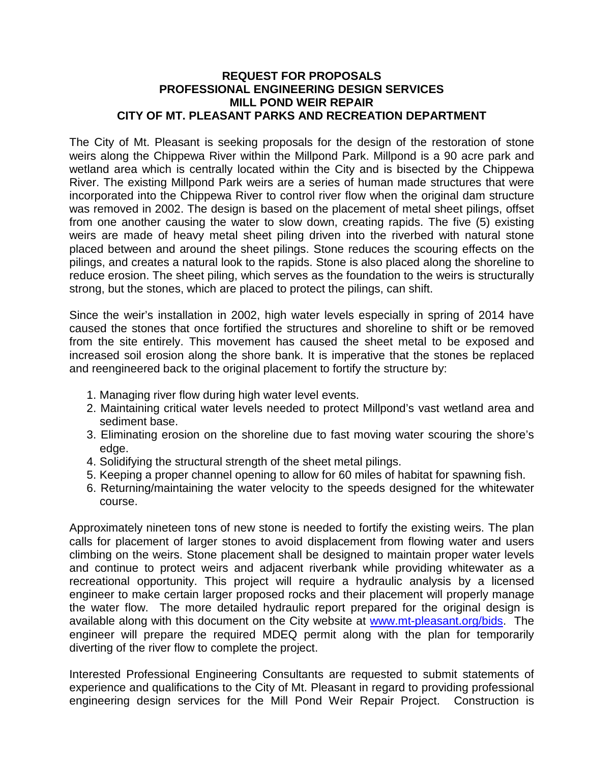#### **REQUEST FOR PROPOSALS PROFESSIONAL ENGINEERING DESIGN SERVICES MILL POND WEIR REPAIR CITY OF MT. PLEASANT PARKS AND RECREATION DEPARTMENT**

The City of Mt. Pleasant is seeking proposals for the design of the restoration of stone weirs along the Chippewa River within the Millpond Park. Millpond is a 90 acre park and wetland area which is centrally located within the City and is bisected by the Chippewa River. The existing Millpond Park weirs are a series of human made structures that were incorporated into the Chippewa River to control river flow when the original dam structure was removed in 2002. The design is based on the placement of metal sheet pilings, offset from one another causing the water to slow down, creating rapids. The five (5) existing weirs are made of heavy metal sheet piling driven into the riverbed with natural stone placed between and around the sheet pilings. Stone reduces the scouring effects on the pilings, and creates a natural look to the rapids. Stone is also placed along the shoreline to reduce erosion. The sheet piling, which serves as the foundation to the weirs is structurally strong, but the stones, which are placed to protect the pilings, can shift.

Since the weir's installation in 2002, high water levels especially in spring of 2014 have caused the stones that once fortified the structures and shoreline to shift or be removed from the site entirely. This movement has caused the sheet metal to be exposed and increased soil erosion along the shore bank. It is imperative that the stones be replaced and reengineered back to the original placement to fortify the structure by:

- 1. Managing river flow during high water level events.
- 2. Maintaining critical water levels needed to protect Millpond's vast wetland area and sediment base.
- 3. Eliminating erosion on the shoreline due to fast moving water scouring the shore's edge.
- 4. Solidifying the structural strength of the sheet metal pilings.
- 5. Keeping a proper channel opening to allow for 60 miles of habitat for spawning fish.
- 6. Returning/maintaining the water velocity to the speeds designed for the whitewater course.

Approximately nineteen tons of new stone is needed to fortify the existing weirs. The plan calls for placement of larger stones to avoid displacement from flowing water and users climbing on the weirs. Stone placement shall be designed to maintain proper water levels and continue to protect weirs and adjacent riverbank while providing whitewater as a recreational opportunity. This project will require a hydraulic analysis by a licensed engineer to make certain larger proposed rocks and their placement will properly manage the water flow. The more detailed hydraulic report prepared for the original design is available along with this document on the City website at [www.mt-pleasant.org/bids.](http://www.mt-pleasant.org/bids) The engineer will prepare the required MDEQ permit along with the plan for temporarily diverting of the river flow to complete the project.

Interested Professional Engineering Consultants are requested to submit statements of experience and qualifications to the City of Mt. Pleasant in regard to providing professional engineering design services for the Mill Pond Weir Repair Project. Construction is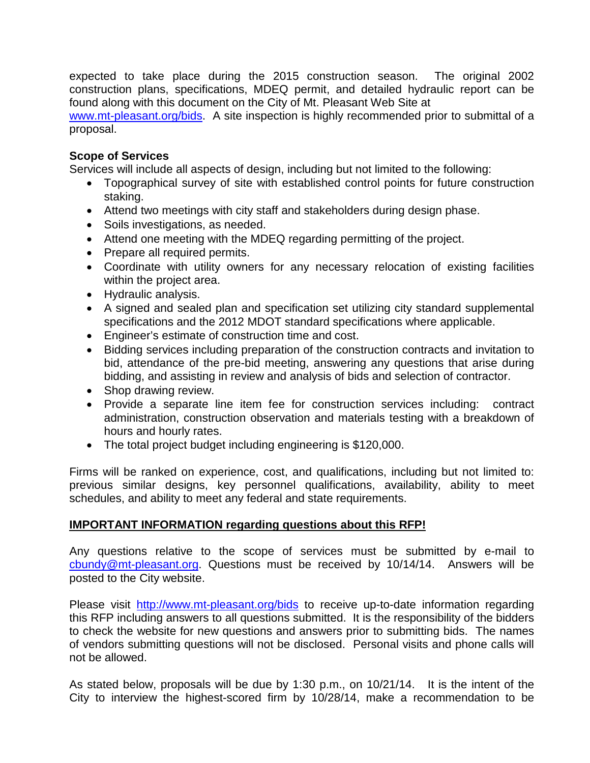expected to take place during the 2015 construction season. The original 2002 construction plans, specifications, MDEQ permit, and detailed hydraulic report can be found along with this document on the City of Mt. Pleasant Web Site at

[www.mt-pleasant.org/bids.](http://www.mt-pleasant.org/bids) A site inspection is highly recommended prior to submittal of a proposal.

# **Scope of Services**

Services will include all aspects of design, including but not limited to the following:

- Topographical survey of site with established control points for future construction staking.
- Attend two meetings with city staff and stakeholders during design phase.
- Soils investigations, as needed.
- Attend one meeting with the MDEQ regarding permitting of the project.
- Prepare all required permits.
- Coordinate with utility owners for any necessary relocation of existing facilities within the project area.
- Hydraulic analysis.
- A signed and sealed plan and specification set utilizing city standard supplemental specifications and the 2012 MDOT standard specifications where applicable.
- Engineer's estimate of construction time and cost.
- Bidding services including preparation of the construction contracts and invitation to bid, attendance of the pre-bid meeting, answering any questions that arise during bidding, and assisting in review and analysis of bids and selection of contractor.
- Shop drawing review.
- Provide a separate line item fee for construction services including: contract administration, construction observation and materials testing with a breakdown of hours and hourly rates.
- The total project budget including engineering is \$120,000.

Firms will be ranked on experience, cost, and qualifications, including but not limited to: previous similar designs, key personnel qualifications, availability, ability to meet schedules, and ability to meet any federal and state requirements.

#### **IMPORTANT INFORMATION regarding questions about this RFP!**

Any questions relative to the scope of services must be submitted by e-mail to [cbundy@mt-pleasant.org.](mailto:cbundy@mt-pleasant.org) Questions must be received by 10/14/14. Answers will be posted to the City website.

Please visit <http://www.mt-pleasant.org/bids> to receive up-to-date information regarding this RFP including answers to all questions submitted. It is the responsibility of the bidders to check the website for new questions and answers prior to submitting bids. The names of vendors submitting questions will not be disclosed. Personal visits and phone calls will not be allowed.

As stated below, proposals will be due by 1:30 p.m., on 10/21/14. It is the intent of the City to interview the highest-scored firm by 10/28/14, make a recommendation to be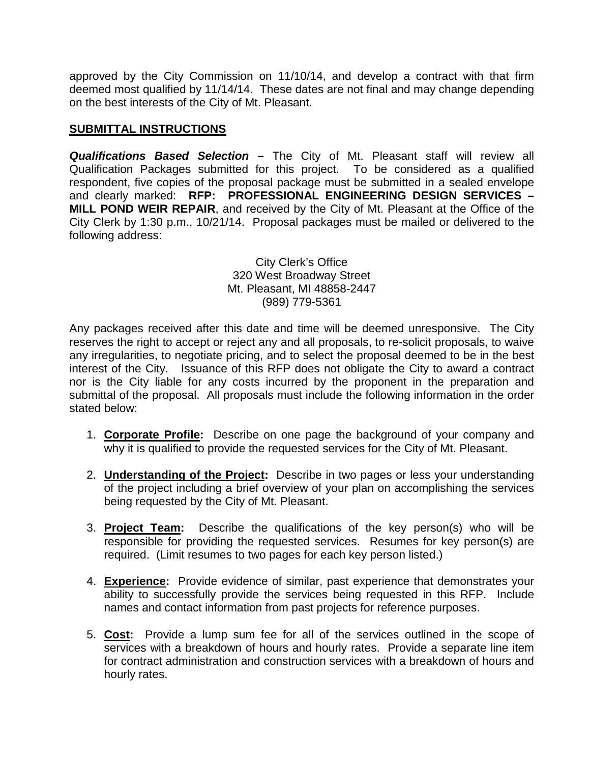approved by the City Commission on 11/10/14, and develop a contract with that firm deemed most qualified by 11/14/14. These dates are not final and may change depending on the best interests of the City of Mt. Pleasant.

# **SUBMITTAL INSTRUCTIONS**

*Qualifications Based Selection –* The City of Mt. Pleasant staff will review all Qualification Packages submitted for this project. To be considered as a qualified respondent, five copies of the proposal package must be submitted in a sealed envelope and clearly marked: **RFP: PROFESSIONAL ENGINEERING DESIGN SERVICES – MILL POND WEIR REPAIR**, and received by the City of Mt. Pleasant at the Office of the City Clerk by 1:30 p.m., 10/21/14. Proposal packages must be mailed or delivered to the following address:

> City Clerk's Office 320 West Broadway Street Mt. Pleasant, MI 48858-2447 (989) 779-5361

Any packages received after this date and time will be deemed unresponsive. The City reserves the right to accept or reject any and all proposals, to re-solicit proposals, to waive any irregularities, to negotiate pricing, and to select the proposal deemed to be in the best interest of the City. Issuance of this RFP does not obligate the City to award a contract nor is the City liable for any costs incurred by the proponent in the preparation and submittal of the proposal. All proposals must include the following information in the order stated below:

- 1. **Corporate Profile:** Describe on one page the background of your company and why it is qualified to provide the requested services for the City of Mt. Pleasant.
- 2. **Understanding of the Project:** Describe in two pages or less your understanding of the project including a brief overview of your plan on accomplishing the services being requested by the City of Mt. Pleasant.
- 3. **Project Team:** Describe the qualifications of the key person(s) who will be responsible for providing the requested services. Resumes for key person(s) are required. (Limit resumes to two pages for each key person listed.)
- 4. **Experience:** Provide evidence of similar, past experience that demonstrates your ability to successfully provide the services being requested in this RFP. Include names and contact information from past projects for reference purposes.
- 5. **Cost:** Provide a lump sum fee for all of the services outlined in the scope of services with a breakdown of hours and hourly rates. Provide a separate line item for contract administration and construction services with a breakdown of hours and hourly rates.